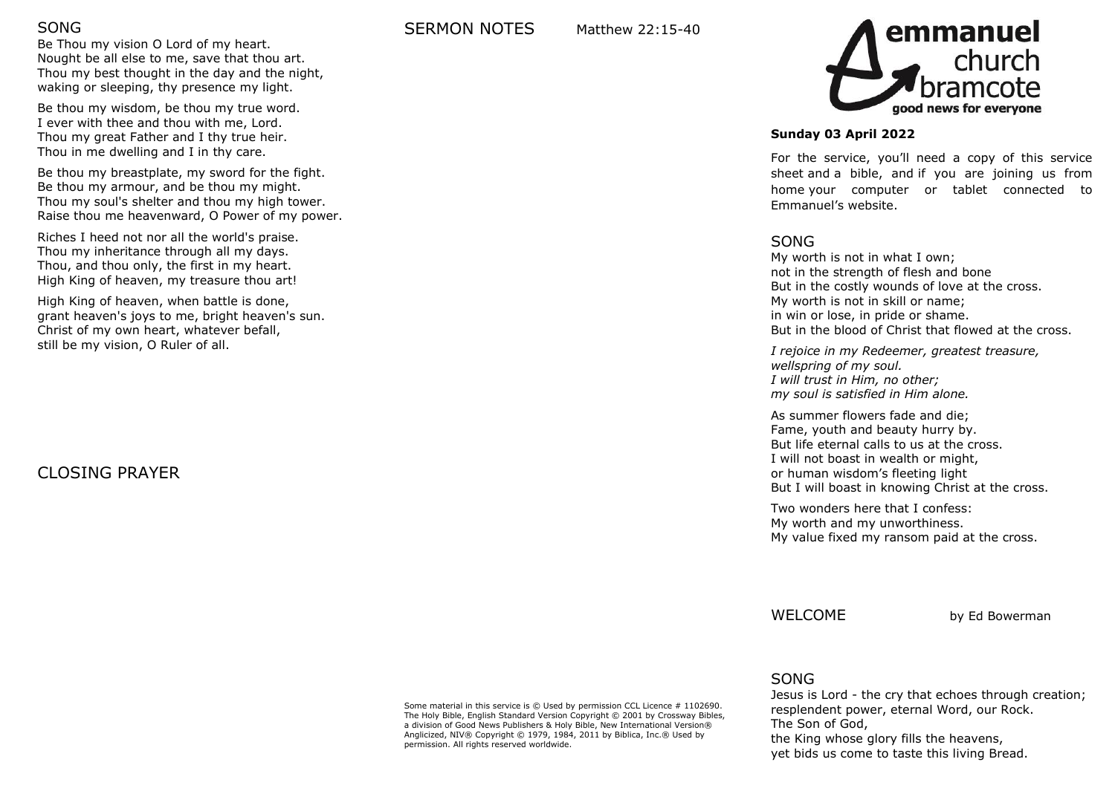#### SONG

Be Thou my vision O Lord of my heart. Nought be all else to me, save that thou art. Thou my best thought in the day and the night, waking or sleeping, thy presence my light.

Be thou my wisdom, be thou my true word. I ever with thee and thou with me, Lord. Thou my great Father and I thy true heir. Thou in me dwelling and I in thy care.

Be thou my breastplate, my sword for the fight. Be thou my armour, and be thou my might. Thou my soul's shelter and thou my high tower. Raise thou me heavenward, O Power of my power.

Riches I heed not nor all the world's praise. Thou my inheritance through all my days. Thou, and thou only, the first in my heart. High King of heaven, my treasure thou art!

High King of heaven, when battle is done, grant heaven's joys to me, bright heaven's sun. Christ of my own heart, whatever befall, still be my vision, O Ruler of all.

# CLOSING PRAYER

## SERMON NOTES Matthew 22:15-40



#### **Sunday 03 April 2022**

For the service, you'll need a copy of this service sheet and a bible, and if you are joining us from home your computer or tablet connected to Emmanuel's website.

#### SONG

My worth is not in what I own; not in the strength of flesh and bone But in the costly wounds of love at the cross. My worth is not in skill or name; in win or lose, in pride or shame. But in the blood of Christ that flowed at the cross.

*I rejoice in my Redeemer, greatest treasure, wellspring of my soul. I will trust in Him, no other; my soul is satisfied in Him alone.*

As summer flowers fade and die; Fame, youth and beauty hurry by. But life eternal calls to us at the cross. I will not boast in wealth or might, or human wisdom's fleeting light But I will boast in knowing Christ at the cross.

Two wonders here that I confess: My worth and my unworthiness. My value fixed my ransom paid at the cross.

WELCOME by Ed Bowerman

# SONG

Some material in this service is © Used by permission CCL Licence # 1102690. The Holy Bible, English Standard Version Copyright © 2001 by Crossway Bibles, a division of Good News Publishers & Holy Bible, New International Version® Anglicized, NIV® Copyright © 1979, 1984, 2011 by Biblica, Inc.® Used by permission. All rights reserved worldwide.

Jesus is Lord - the cry that echoes through creation; resplendent power, eternal Word, our Rock. The Son of God, the King whose glory fills the heavens, yet bids us come to taste this living Bread.